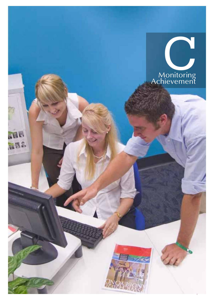